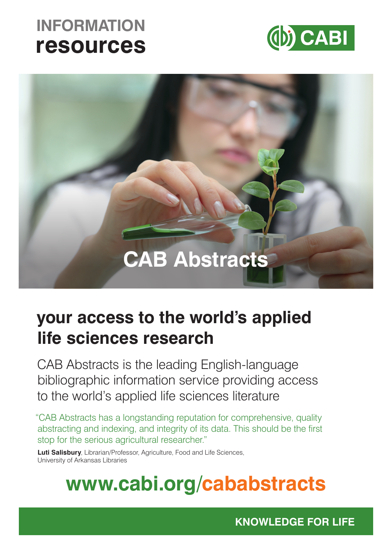# **INFORMATION resources**





## **your access to the world's applied life sciences research**

CAB Abstracts is the leading English-language bibliographic information service providing access to the world's applied life sciences literature

"CAB Abstracts has a longstanding reputation for comprehensive, quality abstracting and indexing, and integrity of its data. This should be the first stop for the serious agricultural researcher."

**Luti Salisbury**, Librarian/Professor, Agriculture, Food and Life Sciences, University of Arkansas Libraries

# **www.cabi.org/cababstracts**

**KNOWLEDGE FOR LIFE**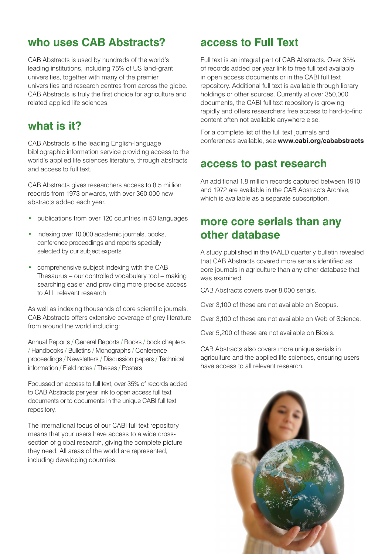### **who uses CAB Abstracts?**

CAB Abstracts is used by hundreds of the world's leading institutions, including 75% of US land-grant universities, together with many of the premier universities and research centres from across the globe. CAB Abstracts is truly the first choice for agriculture and related applied life sciences.

### **what is it?**

CAB Abstracts is the leading English-language bibliographic information service providing access to the world's applied life sciences literature, through abstracts and access to full text.

CAB Abstracts gives researchers access to 8.5 million records from 1973 onwards, with over 360,000 new abstracts added each year.

- publications from over 120 countries in 50 languages
- indexing over 10,000 academic journals, books, conference proceedings and reports specially selected by our subject experts
- comprehensive subject indexing with the CAB Thesaurus – our controlled vocabulary tool – making searching easier and providing more precise access to ALL relevant research

As well as indexing thousands of core scientific journals, CAB Abstracts offers extensive coverage of grey literature from around the world including:

Annual Reports / General Reports / Books / book chapters / Handbooks / Bulletins / Monographs / Conference proceedings / Newsletters / Discussion papers / Technical information / Field notes / Theses / Posters

Focussed on access to full text, over 35% of records added to CAB Abstracts per year link to open access full text documents or to documents in the unique CABI full text repository.

The international focus of our CABI full text repository means that your users have access to a wide crosssection of global research, giving the complete picture they need. All areas of the world are represented, including developing countries.

### **access to Full Text**

Full text is an integral part of CAB Abstracts. Over 35% of records added per year link to free full text available in open access documents or in the CABI full text repository. Additional full text is available through library holdings or other sources. Currently at over 350,000 documents, the CABI full text repository is growing rapidly and offers researchers free access to hard-to-find content often not available anywhere else.

For a complete list of the full text journals and conferences available, see **www.cabi.org/cababstracts**

### **access to past research**

An additional 1.8 million records captured between 1910 and 1972 are available in the CAB Abstracts Archive, which is available as a separate subscription.

### **more core serials than any other database**

A study published in the IAALD quarterly bulletin revealed that CAB Abstracts covered more serials identified as core journals in agriculture than any other database that was examined.

CAB Abstracts covers over 8,000 serials.

Over 3,100 of these are not available on Scopus.

Over 3,100 of these are not available on Web of Science.

Over 5,200 of these are not available on Biosis.

CAB Abstracts also covers more unique serials in agriculture and the applied life sciences, ensuring users have access to all relevant research.

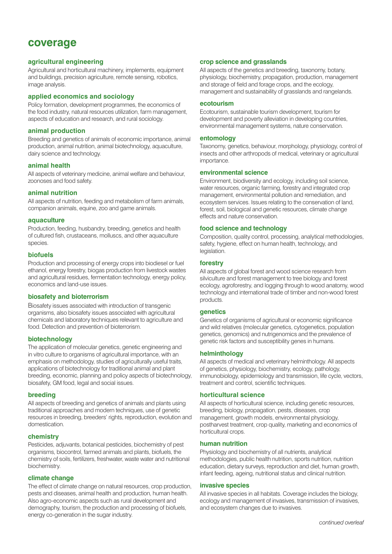### **coverage**

#### **agricultural engineering**

Agricultural and horticultural machinery, implements, equipment and buildings, precision agriculture, remote sensing, robotics, image analysis.

#### **applied economics and sociology**

Policy formation, development programmes, the economics of the food industry, natural resources utilization, farm management, aspects of education and research, and rural sociology.

#### **animal production**

Breeding and genetics of animals of economic importance, animal production, animal nutrition, animal biotechnology, aquaculture, dairy science and technology.

#### **animal health**

All aspects of veterinary medicine, animal welfare and behaviour, zoonoses and food safety.

#### **animal nutrition**

All aspects of nutrition, feeding and metabolism of farm animals, companion animals, equine, zoo and game animals.

#### **aquaculture**

Production, feeding, husbandry, breeding, genetics and health of cultured fish, crustaceans, molluscs, and other aquaculture species.

#### **biofuels**

Production and processing of energy crops into biodiesel or fuel ethanol, energy forestry, biogas production from livestock wastes and agricultural residues, fermentation technology, energy policy, economics and land-use issues.

#### **biosafety and bioterrorism**

Biosafety issues associated with introduction of transgenic organisms, also biosafety issues associated with agricultural chemicals and laboratory techniques relevant to agriculture and food. Detection and prevention of bioterrorism.

#### **biotechnology**

The application of molecular genetics, genetic engineering and in vitro culture to organisms of agricultural importance, with an emphasis on methodology, studies of agriculturally useful traits, applications of biotechnology for traditional animal and plant breeding, economic, planning and policy aspects of biotechnology, biosafety, GM food, legal and social issues.

#### **breeding**

All aspects of breeding and genetics of animals and plants using traditional approaches and modern techniques, use of genetic resources in breeding, breeders' rights, reproduction, evolution and domestication.

#### **chemistry**

Pesticides, adjuvants, botanical pesticides, biochemistry of pest organisms, biocontrol, farmed animals and plants, biofuels, the chemistry of soils, fertilizers, freshwater, waste water and nutritional biochemistry.

#### **climate change**

The effect of climate change on natural resources, crop production, pests and diseases, animal health and production, human health. Also agro-economic aspects such as rural development and demography, tourism, the production and processing of biofuels, energy co-generation in the sugar industry.

#### **crop science and grasslands**

All aspects of the genetics and breeding, taxonomy, botany, physiology, biochemistry, propagation, production, management and storage of field and forage crops, and the ecology, management and sustainability of grasslands and rangelands.

#### **ecotourism**

Ecotourism, sustainable tourism development, tourism for development and poverty alleviation in developing countries, environmental management systems, nature conservation.

#### **entomology**

Taxonomy, genetics, behaviour, morphology, physiology, control of insects and other arthropods of medical, veterinary or agricultural importance.

#### **environmental science**

Environment, biodiversity and ecology, including soil science, water resources, organic farming, forestry and integrated crop management, environmental pollution and remediation, and ecosystem services. Issues relating to the conservation of land, forest, soil, biological and genetic resources, climate change effects and nature conservation.

#### **food science and technology**

Composition, quality control, processing, analytical methodologies, safety, hygiene, effect on human health, technology, and legislation.

#### **forestry**

All aspects of global forest and wood science research from silviculture and forest management to tree biology and forest ecology, agroforestry, and logging through to wood anatomy, wood technology and international trade of timber and non-wood forest products.

#### **genetics**

Genetics of organisms of agricultural or economic significance and wild relatives (molecular genetics, cytogenetics, population genetics, genomics) and nutrigenomics and the prevalence of genetic risk factors and susceptibility genes in humans.

#### **helminthology**

All aspects of medical and veterinary helminthology. All aspects of genetics, physiology, biochemistry, ecology, pathology, immunobiology, epidemiology and transmission, life cycle, vectors, treatment and control, scientific techniques.

#### **horticultural science**

All aspects of horticultural science, including genetic resources, breeding, biology, propagation, pests, diseases, crop management, growth models, environmental physiology, postharvest treatment, crop quality, marketing and economics of horticultural crops.

#### **human nutrition**

Physiology and biochemistry of all nutrients, analytical methodologies, public health nutrition, sports nutrition, nutrition education, dietary surveys, reproduction and diet, human growth, infant feeding, ageing, nutritional status and clinical nutrition.

#### **invasive species**

All invasive species in all habitats. Coverage includes the biology, ecology and management of invasives, transmission of invasives, and ecosystem changes due to invasives.